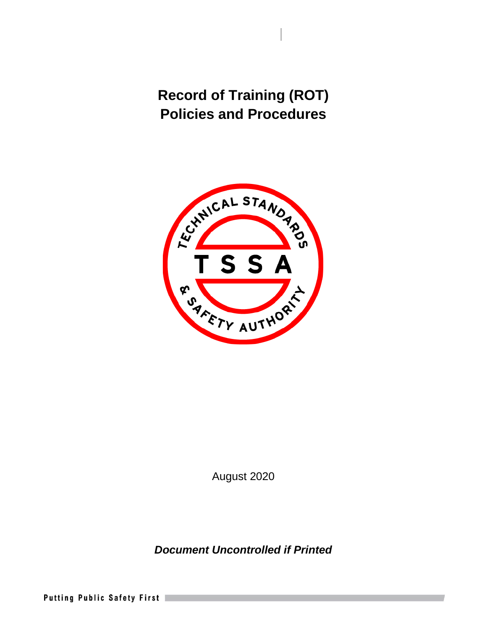

August 2020

*Document Uncontrolled if Printed* 

Putting Public Safety First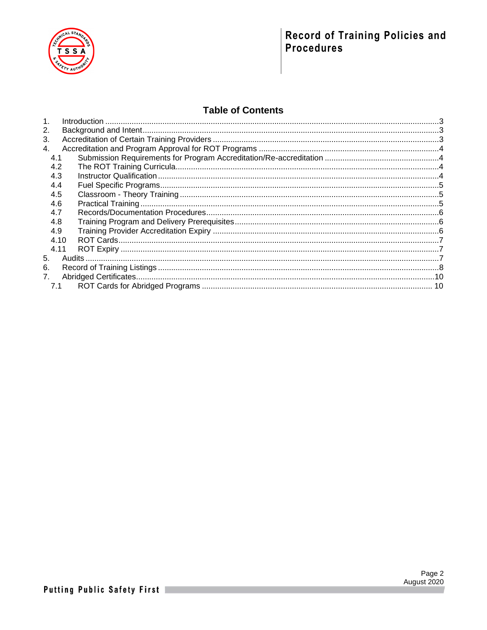

## **Table of Contents**

| 1.          |  |
|-------------|--|
| 2.          |  |
| 3.          |  |
| 4.          |  |
| 4.1         |  |
| 4.2         |  |
| 4.3         |  |
| 4.4         |  |
| 4.5         |  |
| 4.6         |  |
| 4.7         |  |
| 4.8         |  |
| 4.9         |  |
| 4 1 0       |  |
| 4.11        |  |
| 5.          |  |
| 6.          |  |
| $7_{\cdot}$ |  |
| 7.1         |  |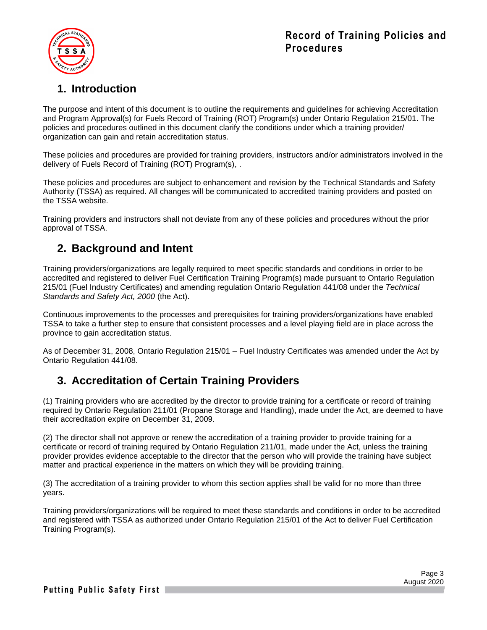

# <span id="page-2-0"></span>**1. Introduction**

The purpose and intent of this document is to outline the requirements and guidelines for achieving Accreditation and Program Approval(s) for Fuels Record of Training (ROT) Program(s) under Ontario Regulation 215/01. The policies and procedures outlined in this document clarify the conditions under which a training provider/ organization can gain and retain accreditation status.

These policies and procedures are provided for training providers, instructors and/or administrators involved in the delivery of Fuels Record of Training (ROT) Program(s), .

These policies and procedures are subject to enhancement and revision by the Technical Standards and Safety Authority (TSSA) as required. All changes will be communicated to accredited training providers and posted on the TSSA website.

Training providers and instructors shall not deviate from any of these policies and procedures without the prior approval of TSSA.

## <span id="page-2-1"></span>**2. Background and Intent**

Training providers/organizations are legally required to meet specific standards and conditions in order to be accredited and registered to deliver Fuel Certification Training Program(s) made pursuant to Ontario Regulation 215/01 (Fuel Industry Certificates) and amending regulation Ontario Regulation 441/08 under the *Technical Standards and Safety Act, 2000* (the Act).

Continuous improvements to the processes and prerequisites for training providers/organizations have enabled TSSA to take a further step to ensure that consistent processes and a level playing field are in place across the province to gain accreditation status.

As of December 31, 2008, Ontario Regulation 215/01 – Fuel Industry Certificates was amended under the Act by Ontario Regulation 441/08.

## <span id="page-2-2"></span>**3. Accreditation of Certain Training Providers**

(1) Training providers who are accredited by the director to provide training for a certificate or record of training required by Ontario Regulation 211/01 (Propane Storage and Handling), made under the Act, are deemed to have their accreditation expire on December 31, 2009.

(2) The director shall not approve or renew the accreditation of a training provider to provide training for a certificate or record of training required by Ontario Regulation 211/01, made under the Act, unless the training provider provides evidence acceptable to the director that the person who will provide the training have subject matter and practical experience in the matters on which they will be providing training.

(3) The accreditation of a training provider to whom this section applies shall be valid for no more than three years.

Training providers/organizations will be required to meet these standards and conditions in order to be accredited and registered with TSSA as authorized under Ontario Regulation 215/01 of the Act to deliver Fuel Certification Training Program(s).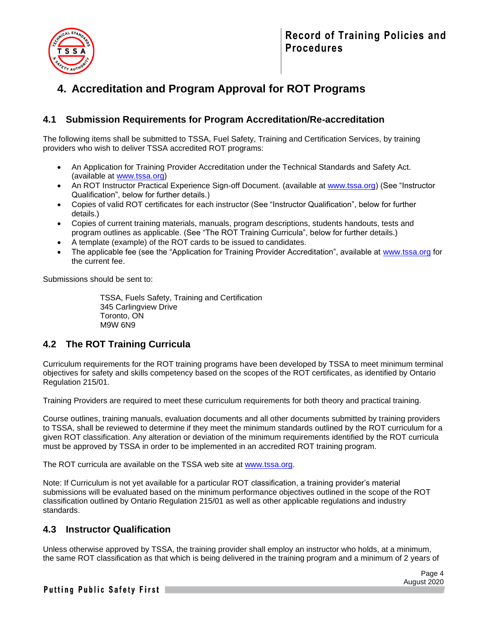

# <span id="page-3-0"></span>**4. Accreditation and Program Approval for ROT Programs**

### <span id="page-3-1"></span>**4.1 Submission Requirements for Program Accreditation/Re-accreditation**

The following items shall be submitted to TSSA, Fuel Safety, Training and Certification Services, by training providers who wish to deliver TSSA accredited ROT programs:

- An Application for Training Provider Accreditation under the Technical Standards and Safety Act. (available at [www.tssa.org\)](http://www.tssa.org/)
- An ROT Instructor Practical Experience Sign-off Document. (available at [www.tssa.org\)](http://www.tssa.org/) (See "Instructor Qualification", below for further details.)
- Copies of valid ROT certificates for each instructor (See "Instructor Qualification", below for further details.)
- Copies of current training materials, manuals, program descriptions, students handouts, tests and program outlines as applicable. (See "The ROT Training Curricula", below for further details.)
- A template (example) of the ROT cards to be issued to candidates.
- The applicable fee (see the "Application for Training Provider Accreditation", available at [www.tssa.org](http://www.tssa.org/) for the current fee.

Submissions should be sent to:

TSSA, Fuels Safety, Training and Certification 345 Carlingview Drive Toronto, ON M9W 6N9

## <span id="page-3-2"></span>**4.2 The ROT Training Curricula**

Curriculum requirements for the ROT training programs have been developed by TSSA to meet minimum terminal objectives for safety and skills competency based on the scopes of the ROT certificates, as identified by Ontario Regulation 215/01.

Training Providers are required to meet these curriculum requirements for both theory and practical training.

Course outlines, training manuals, evaluation documents and all other documents submitted by training providers to TSSA, shall be reviewed to determine if they meet the minimum standards outlined by the ROT curriculum for a given ROT classification. Any alteration or deviation of the minimum requirements identified by the ROT curricula must be approved by TSSA in order to be implemented in an accredited ROT training program.

The ROT curricula are available on the TSSA web site at [www.tssa.org.](http://www.tssa.org/)

Note: If Curriculum is not yet available for a particular ROT classification, a training provider's material submissions will be evaluated based on the minimum performance objectives outlined in the scope of the ROT classification outlined by Ontario Regulation 215/01 as well as other applicable regulations and industry standards.

### <span id="page-3-3"></span>**4.3 Instructor Qualification**

Unless otherwise approved by TSSA, the training provider shall employ an instructor who holds, at a minimum, the same ROT classification as that which is being delivered in the training program and a minimum of 2 years of

Putting Public Safety First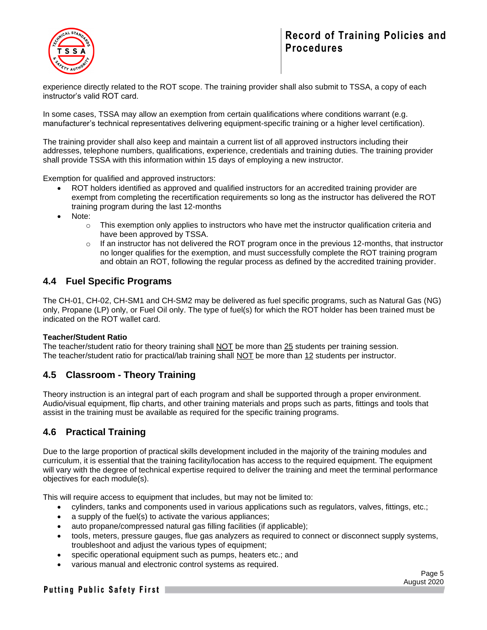

experience directly related to the ROT scope. The training provider shall also submit to TSSA, a copy of each instructor's valid ROT card.

In some cases, TSSA may allow an exemption from certain qualifications where conditions warrant (e.g. manufacturer's technical representatives delivering equipment-specific training or a higher level certification).

The training provider shall also keep and maintain a current list of all approved instructors including their addresses, telephone numbers, qualifications, experience, credentials and training duties. The training provider shall provide TSSA with this information within 15 days of employing a new instructor.

Exemption for qualified and approved instructors:

- ROT holders identified as approved and qualified instructors for an accredited training provider are exempt from completing the recertification requirements so long as the instructor has delivered the ROT training program during the last 12-months
- Note:
	- $\circ$  This exemption only applies to instructors who have met the instructor qualification criteria and have been approved by TSSA.
	- o If an instructor has not delivered the ROT program once in the previous 12-months, that instructor no longer qualifies for the exemption, and must successfully complete the ROT training program and obtain an ROT, following the regular process as defined by the accredited training provider.

### <span id="page-4-0"></span>**4.4 Fuel Specific Programs**

The CH-01, CH-02, CH-SM1 and CH-SM2 may be delivered as fuel specific programs, such as Natural Gas (NG) only, Propane (LP) only, or Fuel Oil only. The type of fuel(s) for which the ROT holder has been trained must be indicated on the ROT wallet card.

#### **Teacher/Student Ratio**

The teacher/student ratio for theory training shall NOT be more than 25 students per training session. The teacher/student ratio for practical/lab training shall NOT be more than 12 students per instructor.

### <span id="page-4-1"></span>**4.5 Classroom - Theory Training**

Theory instruction is an integral part of each program and shall be supported through a proper environment. Audio/visual equipment, flip charts, and other training materials and props such as parts, fittings and tools that assist in the training must be available as required for the specific training programs.

### <span id="page-4-2"></span>**4.6 Practical Training**

Due to the large proportion of practical skills development included in the majority of the training modules and curriculum, it is essential that the training facility/location has access to the required equipment. The equipment will vary with the degree of technical expertise required to deliver the training and meet the terminal performance objectives for each module(s).

This will require access to equipment that includes, but may not be limited to:

- cylinders, tanks and components used in various applications such as regulators, valves, fittings, etc.;
- a supply of the fuel(s) to activate the various appliances;
- auto propane/compressed natural gas filling facilities (if applicable);
- tools, meters, pressure gauges, flue gas analyzers as required to connect or disconnect supply systems, troubleshoot and adjust the various types of equipment;
- specific operational equipment such as pumps, heaters etc.; and
- various manual and electronic control systems as required.

### Putting Public Safety First

Page 5 August 2020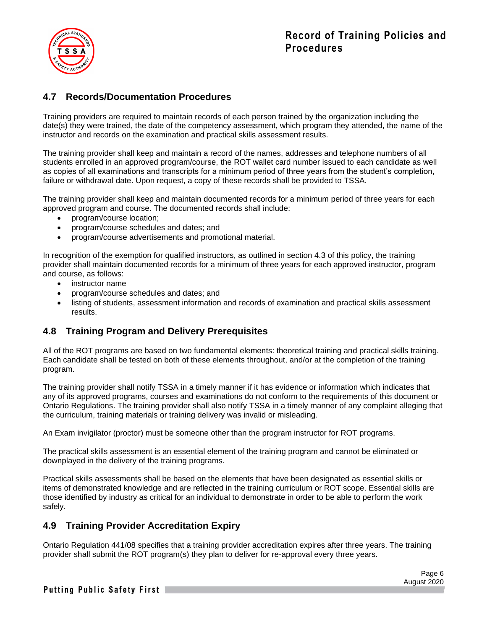

### <span id="page-5-0"></span>**4.7 Records/Documentation Procedures**

Training providers are required to maintain records of each person trained by the organization including the date(s) they were trained, the date of the competency assessment, which program they attended, the name of the instructor and records on the examination and practical skills assessment results.

The training provider shall keep and maintain a record of the names, addresses and telephone numbers of all students enrolled in an approved program/course, the ROT wallet card number issued to each candidate as well as copies of all examinations and transcripts for a minimum period of three years from the student's completion, failure or withdrawal date. Upon request, a copy of these records shall be provided to TSSA.

The training provider shall keep and maintain documented records for a minimum period of three years for each approved program and course. The documented records shall include:

- program/course location;
- program/course schedules and dates; and
- program/course advertisements and promotional material.

In recognition of the exemption for qualified instructors, as outlined in section 4.3 of this policy, the training provider shall maintain documented records for a minimum of three years for each approved instructor, program and course, as follows:

- instructor name
- program/course schedules and dates; and
- listing of students, assessment information and records of examination and practical skills assessment results.

### <span id="page-5-1"></span>**4.8 Training Program and Delivery Prerequisites**

All of the ROT programs are based on two fundamental elements: theoretical training and practical skills training. Each candidate shall be tested on both of these elements throughout, and/or at the completion of the training program.

The training provider shall notify TSSA in a timely manner if it has evidence or information which indicates that any of its approved programs, courses and examinations do not conform to the requirements of this document or Ontario Regulations. The training provider shall also notify TSSA in a timely manner of any complaint alleging that the curriculum, training materials or training delivery was invalid or misleading.

An Exam invigilator (proctor) must be someone other than the program instructor for ROT programs.

The practical skills assessment is an essential element of the training program and cannot be eliminated or downplayed in the delivery of the training programs.

Practical skills assessments shall be based on the elements that have been designated as essential skills or items of demonstrated knowledge and are reflected in the training curriculum or ROT scope. Essential skills are those identified by industry as critical for an individual to demonstrate in order to be able to perform the work safely.

### <span id="page-5-2"></span>**4.9 Training Provider Accreditation Expiry**

Ontario Regulation 441/08 specifies that a training provider accreditation expires after three years. The training provider shall submit the ROT program(s) they plan to deliver for re-approval every three years.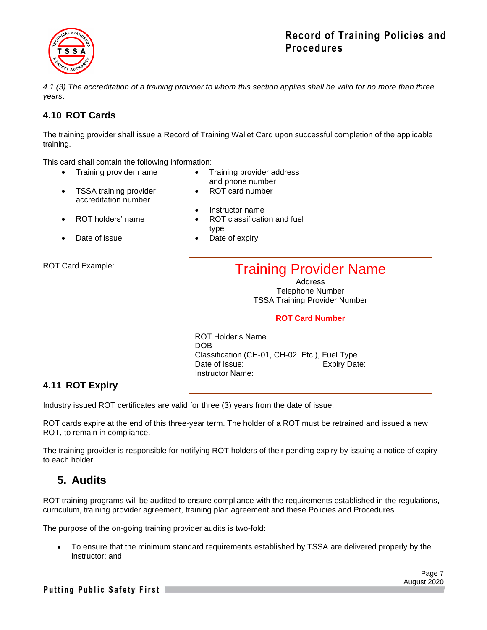

*4.1 (3) The accreditation of a training provider to whom this section applies shall be valid for no more than three years*.

### <span id="page-6-0"></span>**4.10 ROT Cards**

The training provider shall issue a Record of Training Wallet Card upon successful completion of the applicable training.

This card shall contain the following information:

- Training provider name Training provider address
- and phone number

• ROT card number

- TSSA training provider accreditation number
- Instructor name
- ROT holders' name ROT classification and fuel
- 
- Date of issue **•** Date of expiry

type

ROT Card Example:

Training Provider Name

**Address** Telephone Number TSSA Training Provider Number

#### **ROT Card Number**

ROT Holder's Name DOB Classification (CH-01, CH-02, Etc.), Fuel Type Date of Issue: Expiry Date: Instructor Name:

### <span id="page-6-1"></span>**4.11 ROT Expiry**

Industry issued ROT certificates are valid for three (3) years from the date of issue.

ROT cards expire at the end of this three-year term. The holder of a ROT must be retrained and issued a new ROT, to remain in compliance.

The training provider is responsible for notifying ROT holders of their pending expiry by issuing a notice of expiry to each holder.

## <span id="page-6-2"></span>**5. Audits**

ROT training programs will be audited to ensure compliance with the requirements established in the regulations, curriculum, training provider agreement, training plan agreement and these Policies and Procedures.

The purpose of the on-going training provider audits is two-fold:

• To ensure that the minimum standard requirements established by TSSA are delivered properly by the instructor; and

Putting Public Safety First |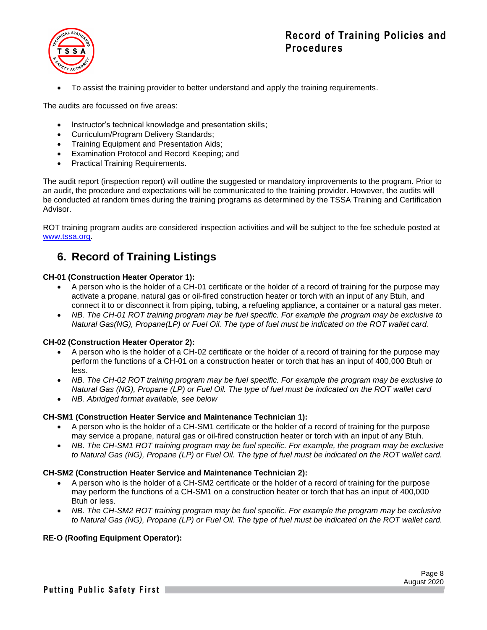

• To assist the training provider to better understand and apply the training requirements.

The audits are focussed on five areas:

- Instructor's technical knowledge and presentation skills;
- Curriculum/Program Delivery Standards;
- Training Equipment and Presentation Aids;
- Examination Protocol and Record Keeping; and
- Practical Training Requirements.

The audit report (inspection report) will outline the suggested or mandatory improvements to the program. Prior to an audit, the procedure and expectations will be communicated to the training provider. However, the audits will be conducted at random times during the training programs as determined by the TSSA Training and Certification Advisor.

ROT training program audits are considered inspection activities and will be subject to the fee schedule posted at [www.tssa.org.](http://www.tssa.org/)

## <span id="page-7-0"></span>**6. Record of Training Listings**

#### **CH-01 (Construction Heater Operator 1):**

- A person who is the holder of a CH-01 certificate or the holder of a record of training for the purpose may activate a propane, natural gas or oil-fired construction heater or torch with an input of any Btuh, and connect it to or disconnect it from piping, tubing, a refueling appliance, a container or a natural gas meter.
- *NB. The CH-01 ROT training program may be fuel specific. For example the program may be exclusive to Natural Gas(NG), Propane(LP) or Fuel Oil. The type of fuel must be indicated on the ROT wallet card*.

#### **CH-02 (Construction Heater Operator 2):**

- A person who is the holder of a CH-02 certificate or the holder of a record of training for the purpose may perform the functions of a CH-01 on a construction heater or torch that has an input of 400,000 Btuh or less.
- *NB. The CH-02 ROT training program may be fuel specific. For example the program may be exclusive to Natural Gas (NG), Propane (LP) or Fuel Oil. The type of fuel must be indicated on the ROT wallet card*
- *NB. Abridged format available, see below*

#### **CH-SM1 (Construction Heater Service and Maintenance Technician 1):**

- A person who is the holder of a CH-SM1 certificate or the holder of a record of training for the purpose may service a propane, natural gas or oil-fired construction heater or torch with an input of any Btuh.
- *NB. The CH-SM1 ROT training program may be fuel specific. For example, the program may be exclusive to Natural Gas (NG), Propane (LP) or Fuel Oil. The type of fuel must be indicated on the ROT wallet card.*

#### **CH-SM2 (Construction Heater Service and Maintenance Technician 2):**

- A person who is the holder of a CH-SM2 certificate or the holder of a record of training for the purpose may perform the functions of a CH-SM1 on a construction heater or torch that has an input of 400,000 Btuh or less.
- *NB. The CH-SM2 ROT training program may be fuel specific. For example the program may be exclusive to Natural Gas (NG), Propane (LP) or Fuel Oil. The type of fuel must be indicated on the ROT wallet card.*

#### **RE-O (Roofing Equipment Operator):**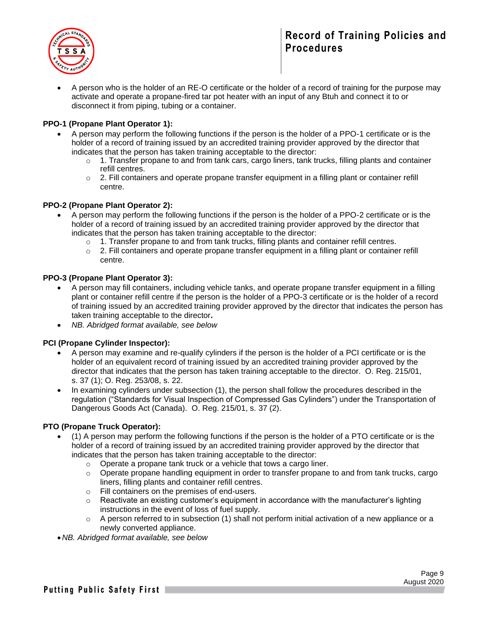

• A person who is the holder of an RE-O certificate or the holder of a record of training for the purpose may activate and operate a propane-fired tar pot heater with an input of any Btuh and connect it to or disconnect it from piping, tubing or a container.

#### **PPO-1 (Propane Plant Operator 1):**

- A person may perform the following functions if the person is the holder of a PPO-1 certificate or is the holder of a record of training issued by an accredited training provider approved by the director that indicates that the person has taken training acceptable to the director:
	- $\circ$  1. Transfer propane to and from tank cars, cargo liners, tank trucks, filling plants and container refill centres.
	- $\circ$  2. Fill containers and operate propane transfer equipment in a filling plant or container refill centre.

#### **PPO-2 (Propane Plant Operator 2):**

- A person may perform the following functions if the person is the holder of a PPO-2 certificate or is the holder of a record of training issued by an accredited training provider approved by the director that indicates that the person has taken training acceptable to the director:
	-
	- o 1. Transfer propane to and from tank trucks, filling plants and container refill centres.<br>  $\circ$  2. Fill containers and operate propane transfer equipment in a filling plant or containe 2. Fill containers and operate propane transfer equipment in a filling plant or container refill centre.

#### **PPO-3 (Propane Plant Operator 3):**

- A person may fill containers, including vehicle tanks, and operate propane transfer equipment in a filling plant or container refill centre if the person is the holder of a PPO-3 certificate or is the holder of a record of training issued by an accredited training provider approved by the director that indicates the person has taken training acceptable to the director**.**
- *NB. Abridged format available, see below*

#### **PCI (Propane Cylinder Inspector):**

- A person may examine and re-qualify cylinders if the person is the holder of a PCI certificate or is the holder of an equivalent record of training issued by an accredited training provider approved by the director that indicates that the person has taken training acceptable to the director. O. Reg. 215/01, s. 37 (1); O. Reg. 253/08, s. 22.
- In examining cylinders under subsection (1), the person shall follow the procedures described in the regulation ("Standards for Visual Inspection of Compressed Gas Cylinders") under the Transportation of Dangerous Goods Act (Canada). O. Reg. 215/01, s. 37 (2).

#### **PTO (Propane Truck Operator):**

- (1) A person may perform the following functions if the person is the holder of a PTO certificate or is the holder of a record of training issued by an accredited training provider approved by the director that indicates that the person has taken training acceptable to the director:
	- o Operate a propane tank truck or a vehicle that tows a cargo liner.
	- $\circ$  Operate propane handling equipment in order to transfer propane to and from tank trucks, cargo liners, filling plants and container refill centres.
	- o Fill containers on the premises of end-users.
	- $\circ$  Reactivate an existing customer's equipment in accordance with the manufacturer's lighting instructions in the event of loss of fuel supply.
	- $\circ$  A person referred to in subsection (1) shall not perform initial activation of a new appliance or a newly converted appliance.
- •*NB. Abridged format available, see below*